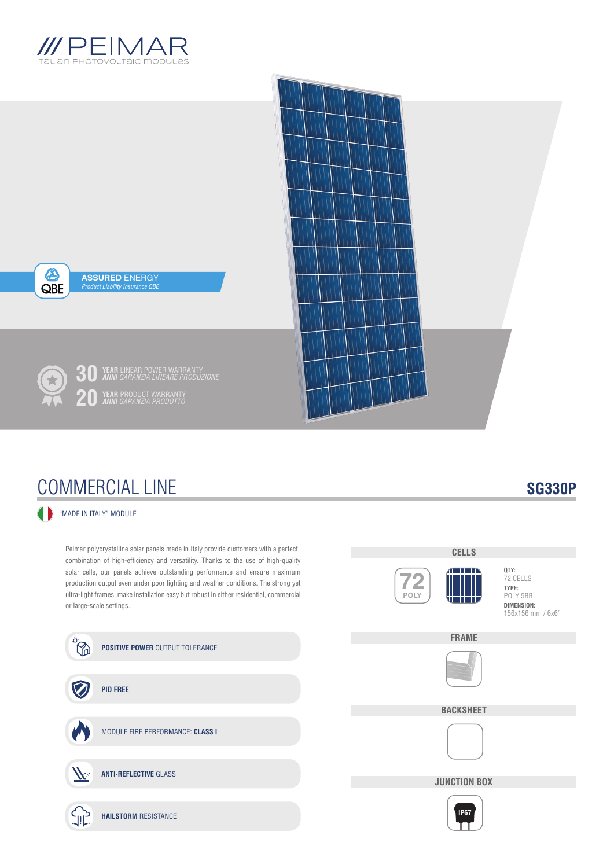



## COMMERCIAL LINE

### **SG330P**

### "MADE IN ITALY" MODULE

Peimar polycrystalline solar panels made in Italy provide customers with a perfect combination of high-efficiency and versatility. Thanks to the use of high-quality solar cells, our panels achieve outstanding performance and ensure maximum production output even under poor lighting and weather conditions. The strong yet ultra-light frames, make installation easy but robust in either residential, commercial or large-scale settings.